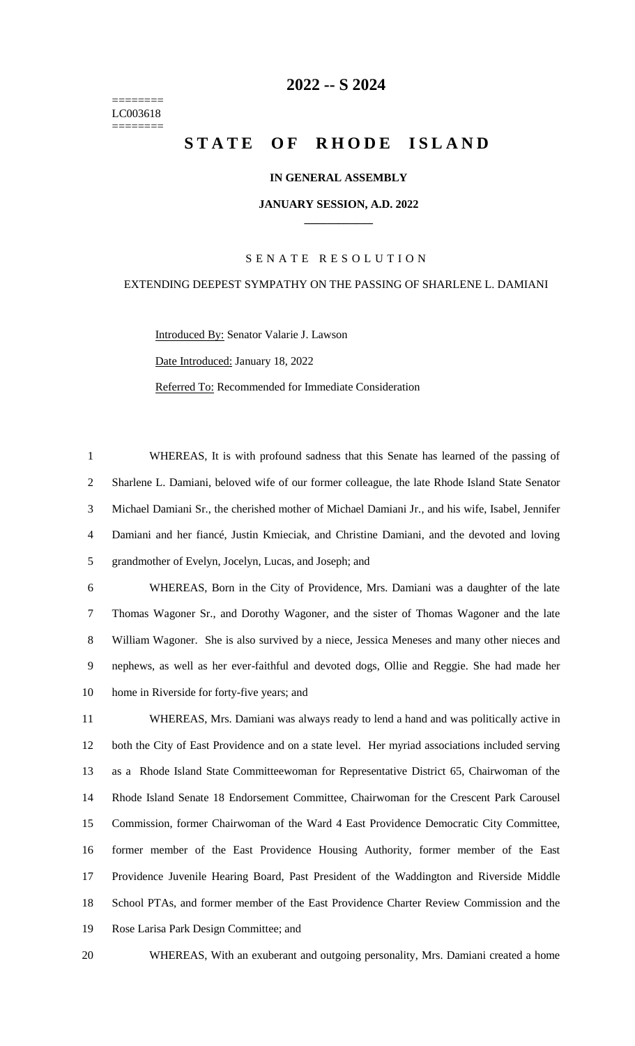======== LC003618 ========

# **-- S 2024**

# **STATE OF RHODE ISLAND**

## **IN GENERAL ASSEMBLY**

#### **JANUARY SESSION, A.D. 2022 \_\_\_\_\_\_\_\_\_\_\_\_**

## S E N A T E R E S O L U T I O N

## EXTENDING DEEPEST SYMPATHY ON THE PASSING OF SHARLENE L. DAMIANI

Introduced By: Senator Valarie J. Lawson Date Introduced: January 18, 2022 Referred To: Recommended for Immediate Consideration

 WHEREAS, It is with profound sadness that this Senate has learned of the passing of Sharlene L. Damiani, beloved wife of our former colleague, the late Rhode Island State Senator Michael Damiani Sr., the cherished mother of Michael Damiani Jr., and his wife, Isabel, Jennifer Damiani and her fiancé, Justin Kmieciak, and Christine Damiani, and the devoted and loving grandmother of Evelyn, Jocelyn, Lucas, and Joseph; and

 WHEREAS, Born in the City of Providence, Mrs. Damiani was a daughter of the late Thomas Wagoner Sr., and Dorothy Wagoner, and the sister of Thomas Wagoner and the late William Wagoner. She is also survived by a niece, Jessica Meneses and many other nieces and nephews, as well as her ever-faithful and devoted dogs, Ollie and Reggie. She had made her home in Riverside for forty-five years; and

 WHEREAS, Mrs. Damiani was always ready to lend a hand and was politically active in both the City of East Providence and on a state level. Her myriad associations included serving as a Rhode Island State Committeewoman for Representative District 65, Chairwoman of the Rhode Island Senate 18 Endorsement Committee, Chairwoman for the Crescent Park Carousel Commission, former Chairwoman of the Ward 4 East Providence Democratic City Committee, former member of the East Providence Housing Authority, former member of the East Providence Juvenile Hearing Board, Past President of the Waddington and Riverside Middle School PTAs, and former member of the East Providence Charter Review Commission and the Rose Larisa Park Design Committee; and

WHEREAS, With an exuberant and outgoing personality, Mrs. Damiani created a home